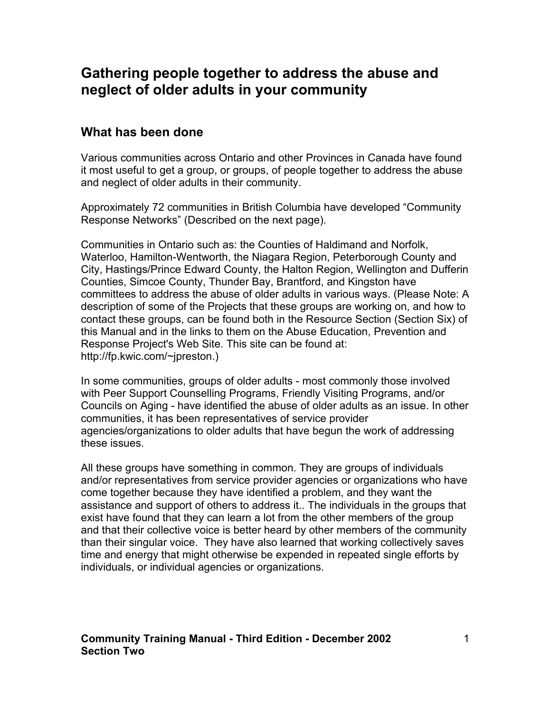## **Gathering people together to address the abuse and neglect of older adults in your community**

### **What has been done**

Various communities across Ontario and other Provinces in Canada have found it most useful to get a group, or groups, of people together to address the abuse and neglect of older adults in their community.

Approximately 72 communities in British Columbia have developed "Community Response Networks" (Described on the next page).

Communities in Ontario such as: the Counties of Haldimand and Norfolk, Waterloo, Hamilton-Wentworth, the Niagara Region, Peterborough County and City, Hastings/Prince Edward County, the Halton Region, Wellington and Dufferin Counties, Simcoe County, Thunder Bay, Brantford, and Kingston have committees to address the abuse of older adults in various ways. (Please Note: A description of some of the Projects that these groups are working on, and how to contact these groups, can be found both in the Resource Section (Section Six) of this Manual and in the links to them on the Abuse Education, Prevention and Response Project's Web Site. This site can be found at: http://fp.kwic.com/~jpreston.)

In some communities, groups of older adults - most commonly those involved with Peer Support Counselling Programs, Friendly Visiting Programs, and/or Councils on Aging - have identified the abuse of older adults as an issue. In other communities, it has been representatives of service provider agencies/organizations to older adults that have begun the work of addressing these issues.

All these groups have something in common. They are groups of individuals and/or representatives from service provider agencies or organizations who have come together because they have identified a problem, and they want the assistance and support of others to address it.. The individuals in the groups that exist have found that they can learn a lot from the other members of the group and that their collective voice is better heard by other members of the community than their singular voice. They have also learned that working collectively saves time and energy that might otherwise be expended in repeated single efforts by individuals, or individual agencies or organizations.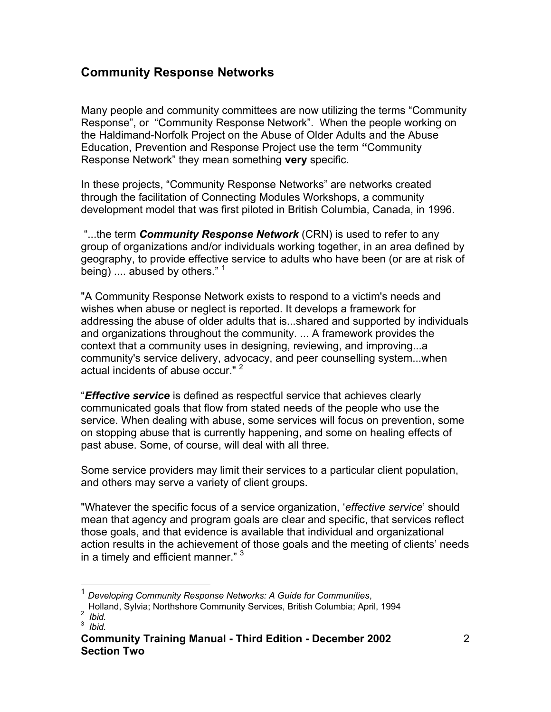## **Community Response Networks**

Many people and community committees are now utilizing the terms "Community Response", or "Community Response Network". When the people working on the Haldimand-Norfolk Project on the Abuse of Older Adults and the Abuse Education, Prevention and Response Project use the term **"**Community Response Network" they mean something **very** specific.

In these projects, "Community Response Networks" are networks created through the facilitation of Connecting Modules Workshops, a community development model that was first piloted in British Columbia, Canada, in 1996.

 "...the term *Community Response Network* (CRN) is used to refer to any group of organizations and/or individuals working together, in an area defined by geography, to provide effective service to adults who have been (or are at risk of being) .... abused by others." <sup>1</sup>

"A Community Response Network exists to respond to a victim's needs and wishes when abuse or neglect is reported. It develops a framework for addressing the abuse of older adults that is...shared and supported by individuals and organizations throughout the community. ... A framework provides the context that a community uses in designing, reviewing, and improving...a community's service delivery, advocacy, and peer counselling system...when actual incidents of abuse occur."<sup>[2](#page-1-1)</sup>

"*Effective service* is defined as respectful service that achieves clearly communicated goals that flow from stated needs of the people who use the service. When dealing with abuse, some services will focus on prevention, some on stopping abuse that is currently happening, and some on healing effects of past abuse. Some, of course, will deal with all three.

Some service providers may limit their services to a particular client population, and others may serve a variety of client groups.

"Whatever the specific focus of a service organization, '*effective service*' should mean that agency and program goals are clear and specific, that services reflect those goals, and that evidence is available that individual and organizational action results in the achievement of those goals and the meeting of clients' needs in a timely and efficient manner."<sup>[3](#page-1-2)</sup>

<span id="page-1-0"></span> <sup>1</sup> *Developing Community Response Networks: A Guide for Communities*,

Holland, Sylvia; Northshore Community Services, British Columbia; April, 1994 <sup>2</sup>  $2$  *Ibid.* 

<span id="page-1-2"></span><span id="page-1-1"></span><sup>3</sup> *Ibid.* 

**Community Training Manual - Third Edition - December 2002 Section Two**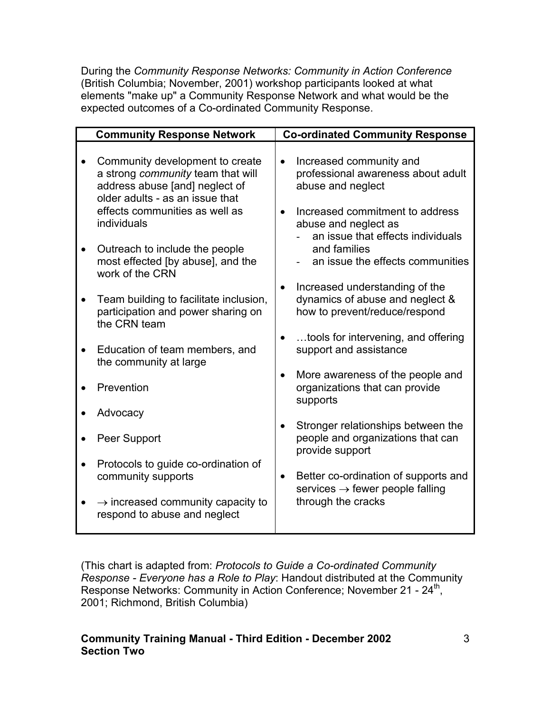During the *Community Response Networks: Community in Action Conference* (British Columbia; November, 2001) workshop participants looked at what elements "make up" a Community Response Network and what would be the expected outcomes of a Co-ordinated Community Response.

| <b>Community Response Network</b>                                                                                                         |           | <b>Co-ordinated Community Response</b>                                                             |
|-------------------------------------------------------------------------------------------------------------------------------------------|-----------|----------------------------------------------------------------------------------------------------|
| Community development to create<br>a strong community team that will<br>address abuse [and] neglect of<br>older adults - as an issue that | $\bullet$ | Increased community and<br>professional awareness about adult<br>abuse and neglect                 |
| effects communities as well as<br>individuals                                                                                             |           | Increased commitment to address<br>abuse and neglect as<br>an issue that effects individuals       |
| Outreach to include the people<br>most effected [by abuse], and the<br>work of the CRN                                                    |           | and families<br>an issue the effects communities                                                   |
| Team building to facilitate inclusion,<br>participation and power sharing on<br>the CRN team                                              |           | Increased understanding of the<br>dynamics of abuse and neglect &<br>how to prevent/reduce/respond |
| Education of team members, and<br>the community at large                                                                                  |           | tools for intervening, and offering<br>support and assistance                                      |
| Prevention                                                                                                                                |           | More awareness of the people and<br>organizations that can provide<br>supports                     |
| Advocacy                                                                                                                                  |           |                                                                                                    |
| Peer Support                                                                                                                              |           | Stronger relationships between the<br>people and organizations that can<br>provide support         |
| Protocols to guide co-ordination of<br>community supports                                                                                 | $\bullet$ | Better co-ordination of supports and<br>services $\rightarrow$ fewer people falling                |
| $\rightarrow$ increased community capacity to<br>respond to abuse and neglect                                                             |           | through the cracks                                                                                 |

(This chart is adapted from: *Protocols to Guide a Co-ordinated Community Response - Everyone has a Role to Play*: Handout distributed at the Community Response Networks: Community in Action Conference; November 21 - 24<sup>th</sup>, 2001; Richmond, British Columbia)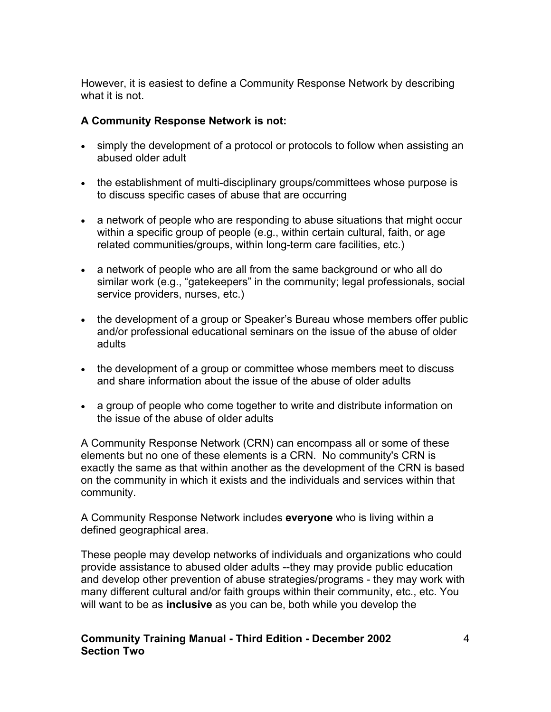However, it is easiest to define a Community Response Network by describing what it is not.

#### **A Community Response Network is not:**

- simply the development of a protocol or protocols to follow when assisting an abused older adult
- the establishment of multi-disciplinary groups/committees whose purpose is to discuss specific cases of abuse that are occurring
- a network of people who are responding to abuse situations that might occur within a specific group of people (e.g., within certain cultural, faith, or age related communities/groups, within long-term care facilities, etc.)
- a network of people who are all from the same background or who all do similar work (e.g., "gatekeepers" in the community; legal professionals, social service providers, nurses, etc.)
- the development of a group or Speaker's Bureau whose members offer public and/or professional educational seminars on the issue of the abuse of older adults
- the development of a group or committee whose members meet to discuss and share information about the issue of the abuse of older adults
- a group of people who come together to write and distribute information on the issue of the abuse of older adults

A Community Response Network (CRN) can encompass all or some of these elements but no one of these elements is a CRN. No community's CRN is exactly the same as that within another as the development of the CRN is based on the community in which it exists and the individuals and services within that community.

A Community Response Network includes **everyone** who is living within a defined geographical area.

These people may develop networks of individuals and organizations who could provide assistance to abused older adults --they may provide public education and develop other prevention of abuse strategies/programs - they may work with many different cultural and/or faith groups within their community, etc., etc. You will want to be as **inclusive** as you can be, both while you develop the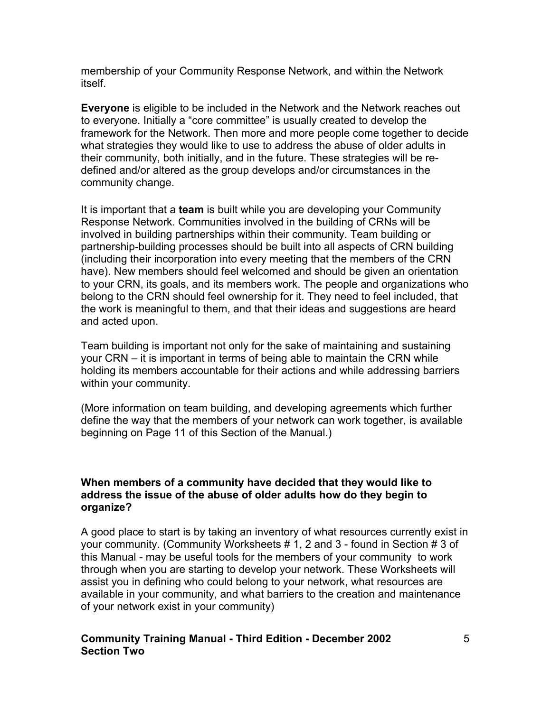membership of your Community Response Network, and within the Network itself.

**Everyone** is eligible to be included in the Network and the Network reaches out to everyone. Initially a "core committee" is usually created to develop the framework for the Network. Then more and more people come together to decide what strategies they would like to use to address the abuse of older adults in their community, both initially, and in the future. These strategies will be redefined and/or altered as the group develops and/or circumstances in the community change.

It is important that a **team** is built while you are developing your Community Response Network. Communities involved in the building of CRNs will be involved in building partnerships within their community. Team building or partnership-building processes should be built into all aspects of CRN building (including their incorporation into every meeting that the members of the CRN have). New members should feel welcomed and should be given an orientation to your CRN, its goals, and its members work. The people and organizations who belong to the CRN should feel ownership for it. They need to feel included, that the work is meaningful to them, and that their ideas and suggestions are heard and acted upon.

Team building is important not only for the sake of maintaining and sustaining your CRN – it is important in terms of being able to maintain the CRN while holding its members accountable for their actions and while addressing barriers within your community.

(More information on team building, and developing agreements which further define the way that the members of your network can work together, is available beginning on Page 11 of this Section of the Manual.)

#### **When members of a community have decided that they would like to address the issue of the abuse of older adults how do they begin to organize?**

A good place to start is by taking an inventory of what resources currently exist in your community. (Community Worksheets # 1, 2 and 3 - found in Section # 3 of this Manual - may be useful tools for the members of your community to work through when you are starting to develop your network. These Worksheets will assist you in defining who could belong to your network, what resources are available in your community, and what barriers to the creation and maintenance of your network exist in your community)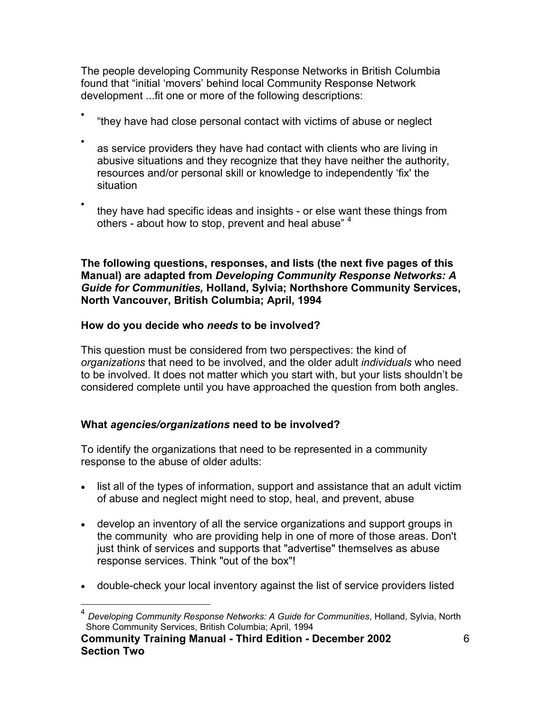The people developing Community Response Networks in British Columbia found that "initial 'movers' behind local Community Response Network development ...fit one or more of the following descriptions:

- "they have had close personal contact with victims of abuse or neglect
- as service providers they have had contact with clients who are living in abusive situations and they recognize that they have neither the authority, resources and/or personal skill or knowledge to independently 'fix' the situation
- they have had specific ideas and insights - or else want these things from others - about how to stop, prevent and heal abuse"<sup>[4](#page-5-0)</sup>

**The following questions, responses, and lists (the next five pages of this Manual) are adapted from** *Developing Community Response Networks: A Guide for Communities,* **Holland, Sylvia; Northshore Community Services, North Vancouver, British Columbia; April, 1994** 

### **How do you decide who** *needs* **to be involved?**

This question must be considered from two perspectives: the kind of *organizations* that need to be involved, and the older adult *individuals* who need to be involved. It does not matter which you start with, but your lists shouldn't be considered complete until you have approached the question from both angles.

### **What** *agencies/organizations* **need to be involved?**

To identify the organizations that need to be represented in a community response to the abuse of older adults:

- list all of the types of information, support and assistance that an adult victim of abuse and neglect might need to stop, heal, and prevent, abuse
- develop an inventory of all the service organizations and support groups in the community who are providing help in one of more of those areas. Don't just think of services and supports that "advertise" themselves as abuse response services. Think "out of the box"!
- double-check your local inventory against the list of service providers listed

<span id="page-5-0"></span> <sup>4</sup> *Developing Community Response Networks: A Guide for Communities*, Holland, Sylvia, North Shore Community Services, British Columbia; April, 1994

**Community Training Manual - Third Edition - December 2002 Section Two**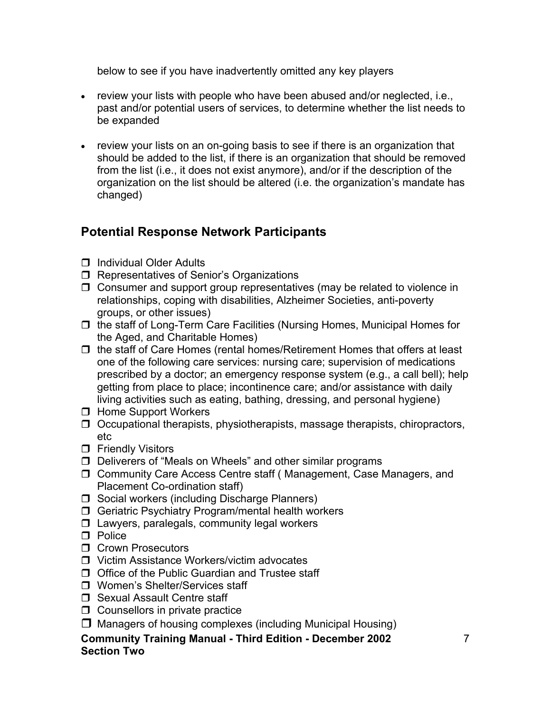below to see if you have inadvertently omitted any key players

- review your lists with people who have been abused and/or neglected, i.e., past and/or potential users of services, to determine whether the list needs to be expanded
- review your lists on an on-going basis to see if there is an organization that should be added to the list, if there is an organization that should be removed from the list (i.e., it does not exist anymore), and/or if the description of the organization on the list should be altered (i.e. the organization's mandate has changed)

## **Potential Response Network Participants**

- **Individual Older Adults**
- $\Box$  Representatives of Senior's Organizations
- $\Box$  Consumer and support group representatives (may be related to violence in relationships, coping with disabilities, Alzheimer Societies, anti-poverty groups, or other issues)
- $\Box$  the staff of Long-Term Care Facilities (Nursing Homes, Municipal Homes for the Aged, and Charitable Homes)
- $\Box$  the staff of Care Homes (rental homes/Retirement Homes that offers at least one of the following care services: nursing care; supervision of medications prescribed by a doctor; an emergency response system (e.g., a call bell); help getting from place to place; incontinence care; and/or assistance with daily living activities such as eating, bathing, dressing, and personal hygiene)
- □ Home Support Workers
- $\Box$  Occupational therapists, physiotherapists, massage therapists, chiropractors, etc
- $\Box$  Friendly Visitors
- $\Box$  Deliverers of "Meals on Wheels" and other similar programs
- □ Community Care Access Centre staff (Management, Case Managers, and Placement Co-ordination staff)
- □ Social workers (including Discharge Planners)
- $\Box$  Geriatric Psychiatry Program/mental health workers
- $\Box$  Lawyers, paralegals, community legal workers
- $\n **Table 2**\n$
- **O** Crown Prosecutors
- Victim Assistance Workers/victim advocates
- $\Box$  Office of the Public Guardian and Trustee staff
- Women's Shelter/Services staff
- □ Sexual Assault Centre staff
- $\Box$  Counsellors in private practice
- $\Box$  Managers of housing complexes (including Municipal Housing)
- **Community Training Manual Third Edition December 2002 Section Two**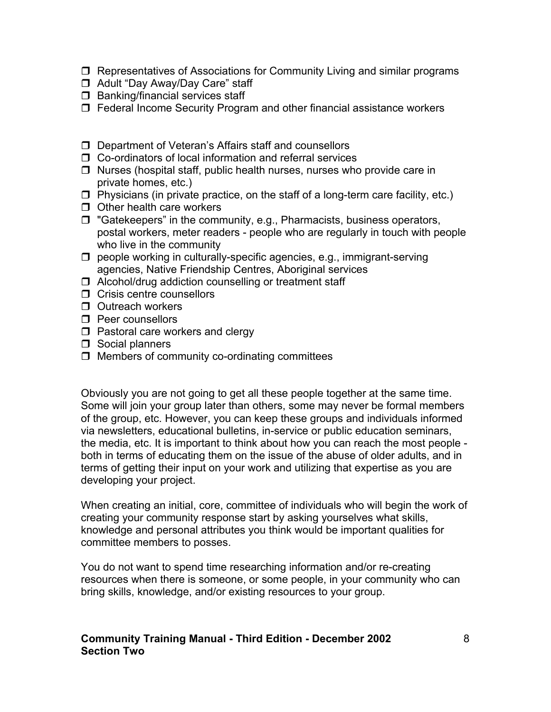- $\Box$  Representatives of Associations for Community Living and similar programs
- □ Adult "Day Away/Day Care" staff
- $\Box$  Banking/financial services staff
- $\Box$  Federal Income Security Program and other financial assistance workers
- □ Department of Veteran's Affairs staff and counsellors
- □ Co-ordinators of local information and referral services
- $\Box$  Nurses (hospital staff, public health nurses, nurses who provide care in private homes, etc.)
- $\Box$  Physicians (in private practice, on the staff of a long-term care facility, etc.)
- $\Box$  Other health care workers
- $\Box$  "Gatekeepers" in the community, e.g., Pharmacists, business operators, postal workers, meter readers - people who are regularly in touch with people who live in the community
- $\Box$  people working in culturally-specific agencies, e.g., immigrant-serving agencies, Native Friendship Centres, Aboriginal services
- $\Box$  Alcohol/drug addiction counselling or treatment staff
- $\Box$  Crisis centre counsellors
- $\Box$  Outreach workers
- $\Box$  Peer counsellors
- $\Box$  Pastoral care workers and clergy
- $\Box$  Social planners
- $\Box$  Members of community co-ordinating committees

Obviously you are not going to get all these people together at the same time. Some will join your group later than others, some may never be formal members of the group, etc. However, you can keep these groups and individuals informed via newsletters, educational bulletins, in-service or public education seminars, the media, etc. It is important to think about how you can reach the most people both in terms of educating them on the issue of the abuse of older adults, and in terms of getting their input on your work and utilizing that expertise as you are developing your project.

When creating an initial, core, committee of individuals who will begin the work of creating your community response start by asking yourselves what skills, knowledge and personal attributes you think would be important qualities for committee members to posses.

You do not want to spend time researching information and/or re-creating resources when there is someone, or some people, in your community who can bring skills, knowledge, and/or existing resources to your group.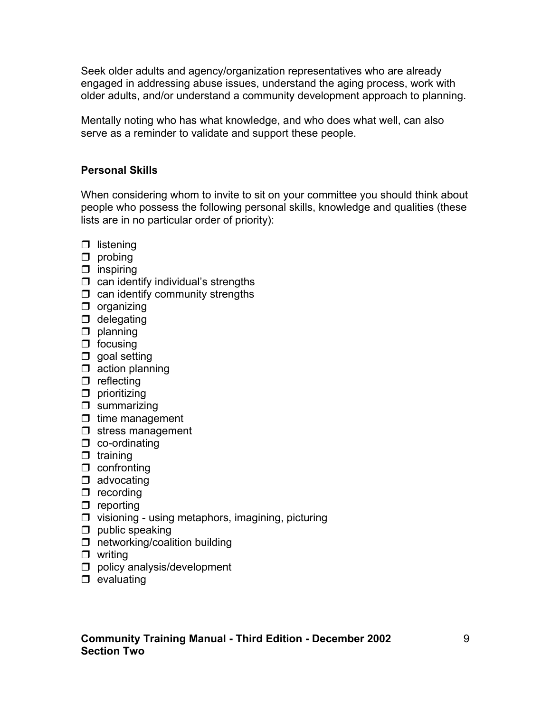Seek older adults and agency/organization representatives who are already engaged in addressing abuse issues, understand the aging process, work with older adults, and/or understand a community development approach to planning.

Mentally noting who has what knowledge, and who does what well, can also serve as a reminder to validate and support these people.

### **Personal Skills**

When considering whom to invite to sit on your committee you should think about people who possess the following personal skills, knowledge and qualities (these lists are in no particular order of priority):

- $\Box$  listening
- $\Box$  probing
- $\Box$  inspiring
- $\Box$  can identify individual's strengths
- $\Box$  can identify community strengths
- $\Box$  organizing
- $\Box$  delegating
- $\Box$  planning
- $\Box$  focusing
- $\Box$  goal setting
- $\Box$  action planning
- $\Box$  reflecting
- $\Box$  prioritizing
- $\square$  summarizing
- $\Box$  time management
- $\Box$  stress management
- $\Box$  co-ordinating
- $\Box$  training
- $\Box$  confronting
- $\Box$  advocating
- $\Box$  recording
- $\Box$  reporting
- $\Box$  visioning using metaphors, imagining, picturing
- $\Box$  public speaking
- $\Box$  networking/coalition building
- $\Box$  writing
- $\Box$  policy analysis/development
- $\Box$  evaluating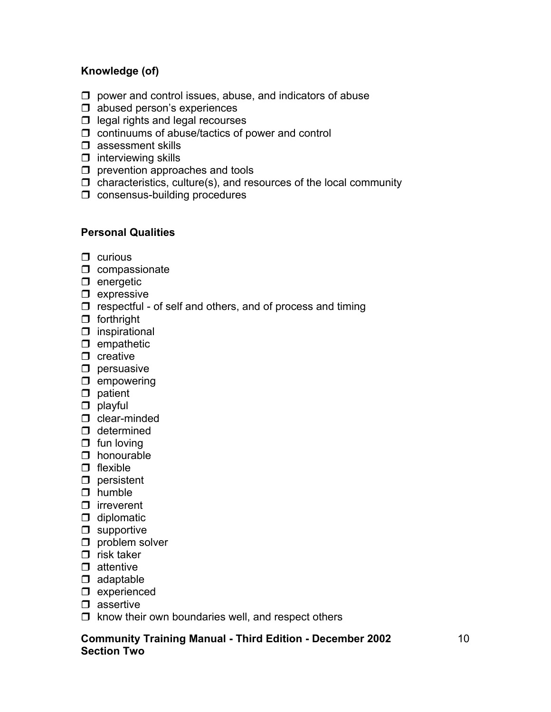#### **Knowledge (of)**

- $\Box$  power and control issues, abuse, and indicators of abuse
- $\Box$  abused person's experiences
- $\Box$  legal rights and legal recourses
- $\Box$  continuums of abuse/tactics of power and control
- $\square$  assessment skills
- $\Box$  interviewing skills
- $\square$  prevention approaches and tools
- $\Box$  characteristics, culture(s), and resources of the local community
- $\Box$  consensus-building procedures

#### **Personal Qualities**

- $\Box$  curious
- $\Box$  compassionate
- $\Box$  energetic
- $\square$  expressive
- $\Box$  respectful of self and others, and of process and timing
- $\Box$  forthright
- $\square$  inspirational
- $\Box$  empathetic
- $\Box$  creative
- $\square$  persuasive
- $\Box$  empowering
- $\Box$  patient
- $\Box$  playful
- $\Box$  clear-minded
- $\Box$  determined
- $\Box$  fun loving
- $\Box$  honourable
- $\Box$  flexible
- $\square$  persistent
- $\Box$  humble
- $\Box$  irreverent
- $\Box$  diplomatic
- $\Box$  supportive
- $\Box$  problem solver
- $\Box$  risk taker
- $\Box$  attentive
- $\Box$  adaptable
- $\square$  experienced
- $\square$  assertive
- $\Box$  know their own boundaries well, and respect others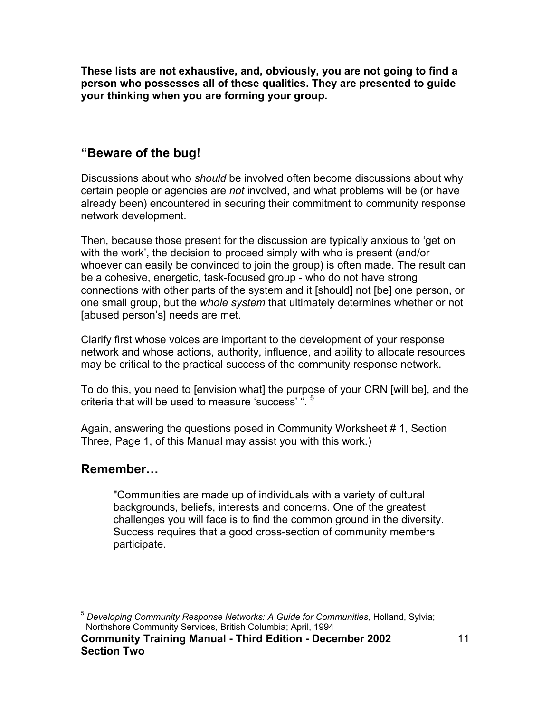**These lists are not exhaustive, and, obviously, you are not going to find a person who possesses all of these qualities. They are presented to guide your thinking when you are forming your group.** 

## **"Beware of the bug!**

Discussions about who *should* be involved often become discussions about why certain people or agencies are *not* involved, and what problems will be (or have already been) encountered in securing their commitment to community response network development.

Then, because those present for the discussion are typically anxious to 'get on with the work', the decision to proceed simply with who is present (and/or whoever can easily be convinced to join the group) is often made. The result can be a cohesive, energetic, task-focused group - who do not have strong connections with other parts of the system and it [should] not [be] one person, or one small group, but the *whole system* that ultimately determines whether or not [abused person's] needs are met.

Clarify first whose voices are important to the development of your response network and whose actions, authority, influence, and ability to allocate resources may be critical to the practical success of the community response network.

To do this, you need to [envision what] the purpose of your CRN [will be], and the criteria that will be used to measure 'success' ". [5](#page-10-0)

Again, answering the questions posed in Community Worksheet # 1, Section Three, Page 1, of this Manual may assist you with this work.)

### **Remember…**

"Communities are made up of individuals with a variety of cultural backgrounds, beliefs, interests and concerns. One of the greatest challenges you will face is to find the common ground in the diversity. Success requires that a good cross-section of community members participate.

<span id="page-10-0"></span> <sup>5</sup> *Developing Community Response Networks: A Guide for Communities,* Holland, Sylvia; Northshore Community Services, British Columbia; April, 1994

**Community Training Manual - Third Edition - December 2002 Section Two**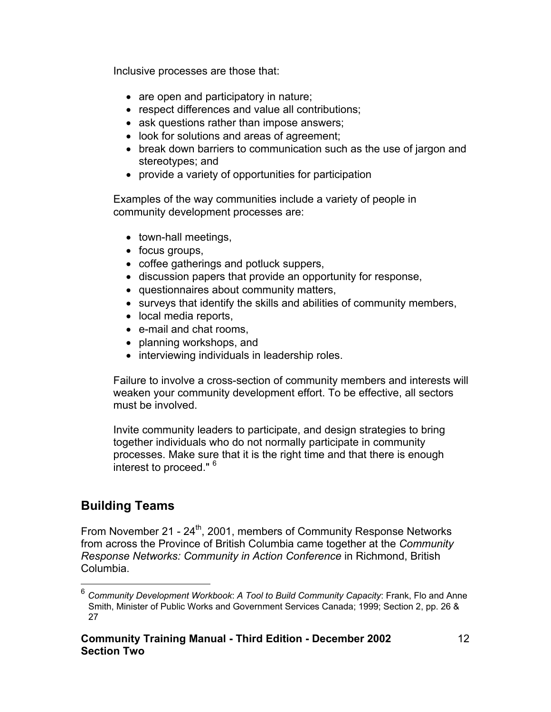Inclusive processes are those that:

- are open and participatory in nature;
- respect differences and value all contributions;
- ask questions rather than impose answers;
- look for solutions and areas of agreement;
- break down barriers to communication such as the use of jargon and stereotypes; and
- provide a variety of opportunities for participation

Examples of the way communities include a variety of people in community development processes are:

- town-hall meetings,
- focus groups,
- coffee gatherings and potluck suppers,
- discussion papers that provide an opportunity for response,
- questionnaires about community matters,
- surveys that identify the skills and abilities of community members,
- local media reports,
- e-mail and chat rooms,
- planning workshops, and
- interviewing individuals in leadership roles.

Failure to involve a cross-section of community members and interests will weaken your community development effort. To be effective, all sectors must be involved.

Invite community leaders to participate, and design strategies to bring together individuals who do not normally participate in community processes. Make sure that it is the right time and that there is enough interest to proceed." <sup>[6](#page-11-0)</sup>

## **Building Teams**

From November 21 -  $24<sup>th</sup>$ , 2001, members of Community Response Networks from across the Province of British Columbia came together at the *Community Response Networks: Community in Action Conference* in Richmond, British Columbia.

<span id="page-11-0"></span> <sup>6</sup> *Community Development Workbook*: *A Tool to Build Community Capacity*: Frank, Flo and Anne Smith, Minister of Public Works and Government Services Canada; 1999; Section 2, pp. 26 & 27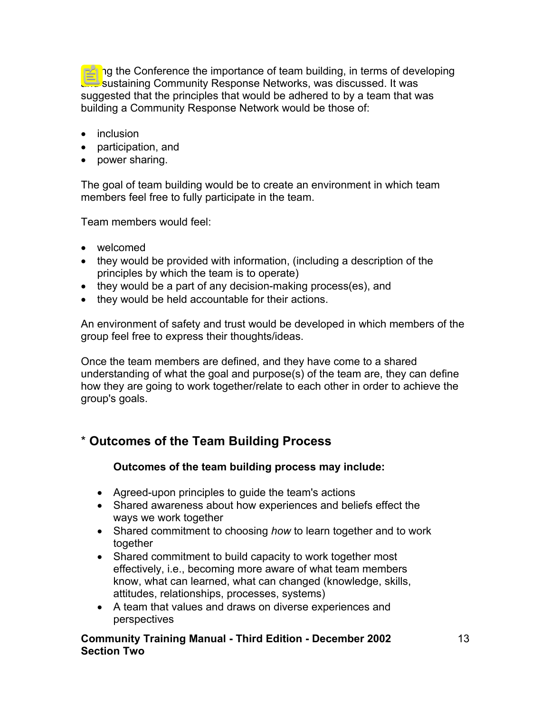During the Conference the importance of team building, in terms of developing and sustaining Community Response Networks, was discussed. It was suggested that the principles that would be adhered to by a team that was building a Community Response Network would be those of:

- inclusion
- participation, and
- power sharing.

The goal of team building would be to create an environment in which team members feel free to fully participate in the team.

Team members would feel:

- welcomed
- they would be provided with information, (including a description of the principles by which the team is to operate)
- they would be a part of any decision-making process(es), and
- they would be held accountable for their actions.

An environment of safety and trust would be developed in which members of the group feel free to express their thoughts/ideas.

Once the team members are defined, and they have come to a shared understanding of what the goal and purpose(s) of the team are, they can define how they are going to work together/relate to each other in order to achieve the group's goals.

## \* **Outcomes of the Team Building Process**

#### **Outcomes of the team building process may include:**

- Agreed-upon principles to guide the team's actions
- Shared awareness about how experiences and beliefs effect the ways we work together
- Shared commitment to choosing *how* to learn together and to work together
- Shared commitment to build capacity to work together most effectively, i.e., becoming more aware of what team members know, what can learned, what can changed (knowledge, skills, attitudes, relationships, processes, systems)
- A team that values and draws on diverse experiences and perspectives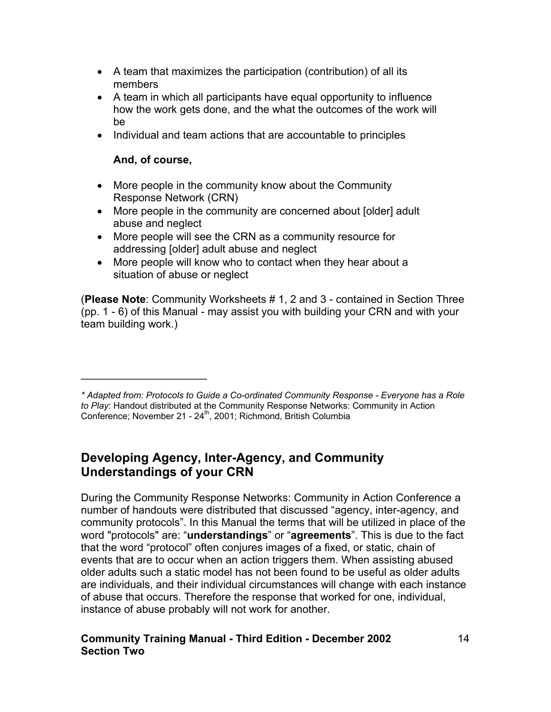- A team that maximizes the participation (contribution) of all its members
- A team in which all participants have equal opportunity to influence how the work gets done, and the what the outcomes of the work will be
- Individual and team actions that are accountable to principles

### **And, of course,**

 $\mathcal{L}_\text{max}$  , where  $\mathcal{L}_\text{max}$ 

- More people in the community know about the Community Response Network (CRN)
- More people in the community are concerned about [older] adult abuse and neglect
- More people will see the CRN as a community resource for addressing [older] adult abuse and neglect
- More people will know who to contact when they hear about a situation of abuse or neglect

(**Please Note**: Community Worksheets # 1, 2 and 3 - contained in Section Three (pp. 1 - 6) of this Manual - may assist you with building your CRN and with your team building work.)

## **Developing Agency, Inter-Agency, and Community Understandings of your CRN**

During the Community Response Networks: Community in Action Conference a number of handouts were distributed that discussed "agency, inter-agency, and community protocols". In this Manual the terms that will be utilized in place of the word "protocols" are: "**understandings**" or "**agreements**". This is due to the fact that the word "protocol" often conjures images of a fixed, or static, chain of events that are to occur when an action triggers them. When assisting abused older adults such a static model has not been found to be useful as older adults are individuals, and their individual circumstances will change with each instance of abuse that occurs. Therefore the response that worked for one, individual, instance of abuse probably will not work for another.

*<sup>\*</sup> Adapted from: Protocols to Guide a Co-ordinated Community Response - Everyone has a Role to Play*: Handout distributed at the Community Response Networks: Community in Action Conference; November 21 - 24<sup>th</sup>, 2001; Richmond, British Columbia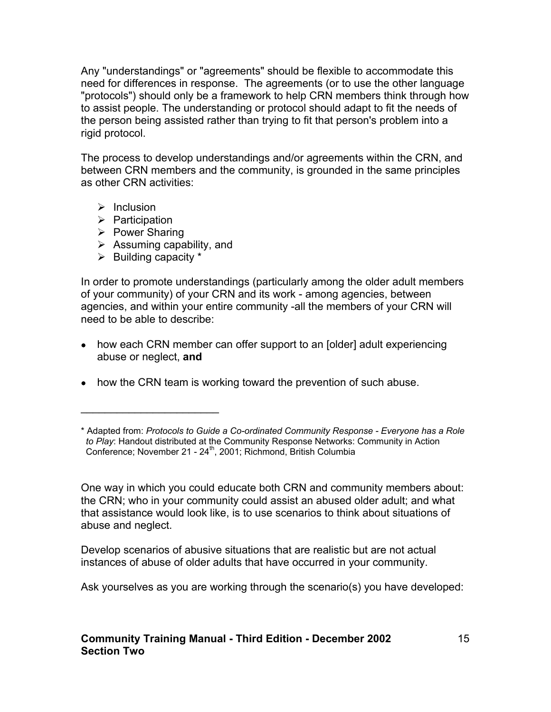Any "understandings" or "agreements" should be flexible to accommodate this need for differences in response. The agreements (or to use the other language "protocols") should only be a framework to help CRN members think through how to assist people. The understanding or protocol should adapt to fit the needs of the person being assisted rather than trying to fit that person's problem into a rigid protocol.

The process to develop understandings and/or agreements within the CRN, and between CRN members and the community, is grounded in the same principles as other CRN activities:

- $\triangleright$  Inclusion
- $\triangleright$  Participation
- $\triangleright$  Power Sharing
- $\triangleright$  Assuming capability, and
- $\triangleright$  Building capacity  $*$

 $\_$ 

In order to promote understandings (particularly among the older adult members of your community) of your CRN and its work - among agencies, between agencies, and within your entire community -all the members of your CRN will need to be able to describe:

- how each CRN member can offer support to an [older] adult experiencing abuse or neglect, **and**
- how the CRN team is working toward the prevention of such abuse.

One way in which you could educate both CRN and community members about: the CRN; who in your community could assist an abused older adult; and what that assistance would look like, is to use scenarios to think about situations of abuse and neglect.

Develop scenarios of abusive situations that are realistic but are not actual instances of abuse of older adults that have occurred in your community.

Ask yourselves as you are working through the scenario(s) you have developed:

<sup>\*</sup> Adapted from: *Protocols to Guide a Co-ordinated Community Response - Everyone has a Role to Play*: Handout distributed at the Community Response Networks: Community in Action Conference; November 21 - 24th, 2001; Richmond, British Columbia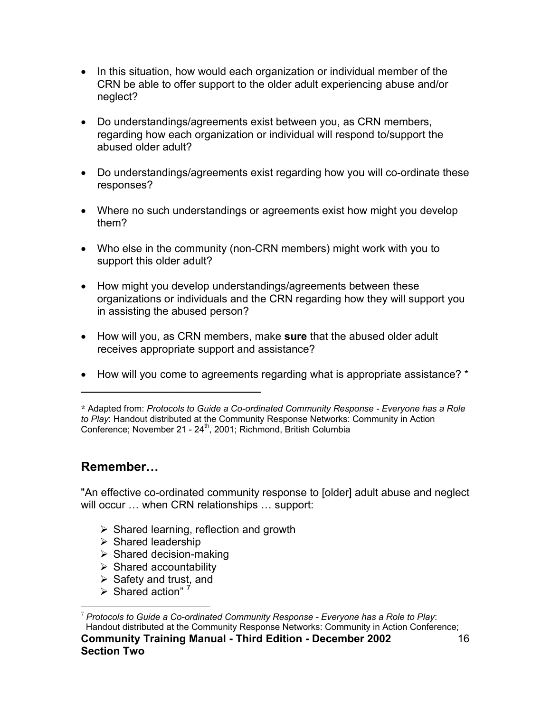- In this situation, how would each organization or individual member of the CRN be able to offer support to the older adult experiencing abuse and/or neglect?
- Do understandings/agreements exist between you, as CRN members, regarding how each organization or individual will respond to/support the abused older adult?
- Do understandings/agreements exist regarding how you will co-ordinate these responses?
- Where no such understandings or agreements exist how might you develop them?
- Who else in the community (non-CRN members) might work with you to support this older adult?
- How might you develop understandings/agreements between these organizations or individuals and the CRN regarding how they will support you in assisting the abused person?
- How will you, as CRN members, make **sure** that the abused older adult receives appropriate support and assistance?
- How will you come to agreements regarding what is appropriate assistance? \*

## **Remember…**

"An effective co-ordinated community response to [older] adult abuse and neglect will occur ... when CRN relationships ... support:

- $\triangleright$  Shared learning, reflection and growth
- $\triangleright$  Shared leadership
- $\triangleright$  Shared decision-making

**\_\_\_\_\_\_\_\_\_\_\_\_\_\_\_\_\_\_\_\_\_\_\_\_\_\_\_\_\_\_**

- $\triangleright$  Shared accountability
- $\triangleright$  Safety and trust, and
- $\triangleright$  Shared action"<sup>[7](#page-15-0)</sup>

**<sup>\*</sup>** Adapted from: *Protocols to Guide a Co-ordinated Community Response - Everyone has a Role to Play*: Handout distributed at the Community Response Networks: Community in Action Conference; November 21 - 24<sup>th</sup>, 2001; Richmond, British Columbia

<span id="page-15-0"></span><sup>7</sup> *Protocols to Guide a Co-ordinated Community Response - Everyone has a Role to Play*: **Community Training Manual - Third Edition - December 2002 Section Two**  16 Handout distributed at the Community Response Networks: Community in Action Conference;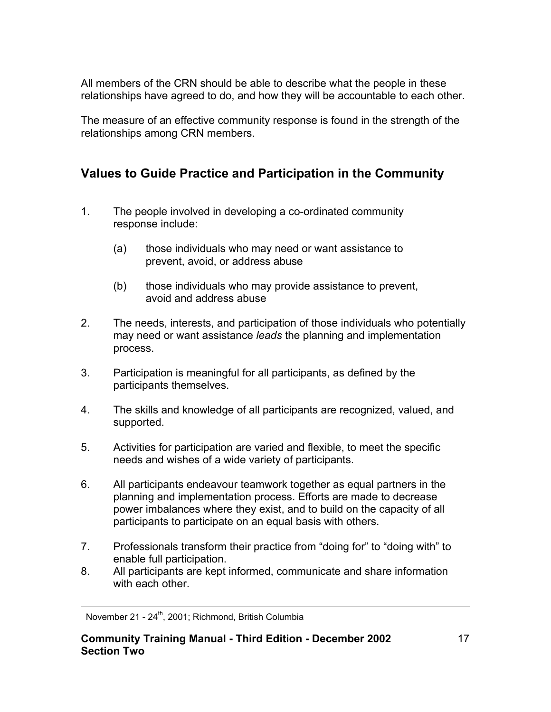All members of the CRN should be able to describe what the people in these relationships have agreed to do, and how they will be accountable to each other.

The measure of an effective community response is found in the strength of the relationships among CRN members.

## **Values to Guide Practice and Participation in the Community**

- 1. The people involved in developing a co-ordinated community response include:
	- (a) those individuals who may need or want assistance to prevent, avoid, or address abuse
	- (b) those individuals who may provide assistance to prevent, avoid and address abuse
- 2. The needs, interests, and participation of those individuals who potentially may need or want assistance *leads* the planning and implementation process.
- 3. Participation is meaningful for all participants, as defined by the participants themselves.
- 4. The skills and knowledge of all participants are recognized, valued, and supported.
- 5. Activities for participation are varied and flexible, to meet the specific needs and wishes of a wide variety of participants.
- 6. All participants endeavour teamwork together as equal partners in the planning and implementation process. Efforts are made to decrease power imbalances where they exist, and to build on the capacity of all participants to participate on an equal basis with others.
- 7. Professionals transform their practice from "doing for" to "doing with" to enable full participation.
- 8. All participants are kept informed, communicate and share information with each other.

November 21 - 24<sup>th</sup>, 2001; Richmond, British Columbia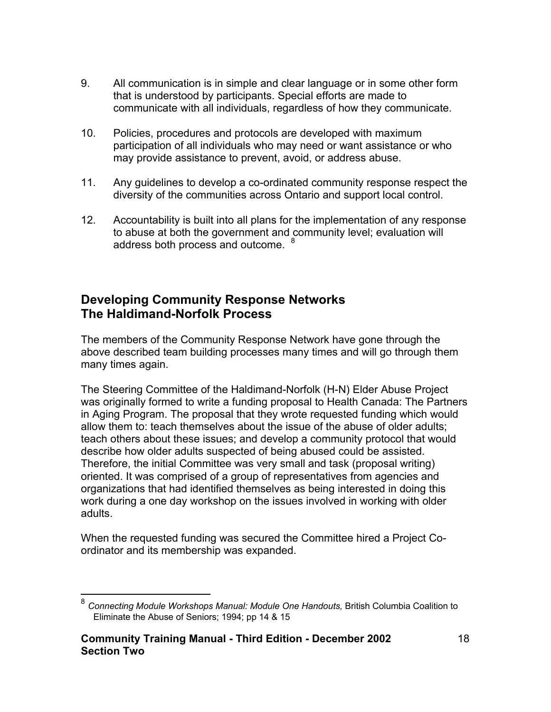- 9. All communication is in simple and clear language or in some other form that is understood by participants. Special efforts are made to communicate with all individuals, regardless of how they communicate.
- 10. Policies, procedures and protocols are developed with maximum participation of all individuals who may need or want assistance or who may provide assistance to prevent, avoid, or address abuse.
- 11. Any guidelines to develop a co-ordinated community response respect the diversity of the communities across Ontario and support local control.
- 12. Accountability is built into all plans for the implementation of any response to abuse at both the government and community level; evaluation will address both process and outcome. <sup>[8](#page-17-0)</sup>

## **Developing Community Response Networks The Haldimand-Norfolk Process**

The members of the Community Response Network have gone through the above described team building processes many times and will go through them many times again.

The Steering Committee of the Haldimand-Norfolk (H-N) Elder Abuse Project was originally formed to write a funding proposal to Health Canada: The Partners in Aging Program. The proposal that they wrote requested funding which would allow them to: teach themselves about the issue of the abuse of older adults; teach others about these issues; and develop a community protocol that would describe how older adults suspected of being abused could be assisted. Therefore, the initial Committee was very small and task (proposal writing) oriented. It was comprised of a group of representatives from agencies and organizations that had identified themselves as being interested in doing this work during a one day workshop on the issues involved in working with older adults.

When the requested funding was secured the Committee hired a Project Coordinator and its membership was expanded.

<span id="page-17-0"></span> <sup>8</sup> *Connecting Module Workshops Manual: Module One Handouts,* British Columbia Coalition to Eliminate the Abuse of Seniors; 1994; pp 14 & 15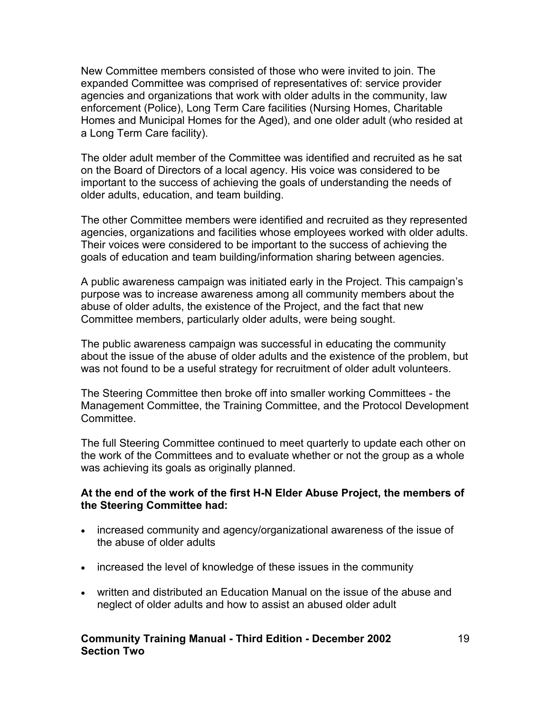New Committee members consisted of those who were invited to join. The expanded Committee was comprised of representatives of: service provider agencies and organizations that work with older adults in the community, law enforcement (Police), Long Term Care facilities (Nursing Homes, Charitable Homes and Municipal Homes for the Aged), and one older adult (who resided at a Long Term Care facility).

The older adult member of the Committee was identified and recruited as he sat on the Board of Directors of a local agency. His voice was considered to be important to the success of achieving the goals of understanding the needs of older adults, education, and team building.

The other Committee members were identified and recruited as they represented agencies, organizations and facilities whose employees worked with older adults. Their voices were considered to be important to the success of achieving the goals of education and team building/information sharing between agencies.

A public awareness campaign was initiated early in the Project. This campaign's purpose was to increase awareness among all community members about the abuse of older adults, the existence of the Project, and the fact that new Committee members, particularly older adults, were being sought.

The public awareness campaign was successful in educating the community about the issue of the abuse of older adults and the existence of the problem, but was not found to be a useful strategy for recruitment of older adult volunteers.

The Steering Committee then broke off into smaller working Committees - the Management Committee, the Training Committee, and the Protocol Development Committee.

The full Steering Committee continued to meet quarterly to update each other on the work of the Committees and to evaluate whether or not the group as a whole was achieving its goals as originally planned.

#### **At the end of the work of the first H-N Elder Abuse Project, the members of the Steering Committee had:**

- increased community and agency/organizational awareness of the issue of the abuse of older adults
- increased the level of knowledge of these issues in the community
- written and distributed an Education Manual on the issue of the abuse and neglect of older adults and how to assist an abused older adult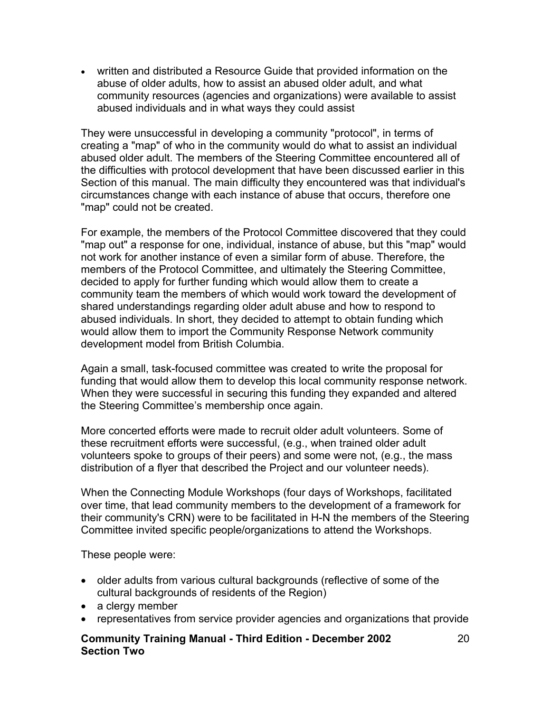• written and distributed a Resource Guide that provided information on the abuse of older adults, how to assist an abused older adult, and what community resources (agencies and organizations) were available to assist abused individuals and in what ways they could assist

They were unsuccessful in developing a community "protocol", in terms of creating a "map" of who in the community would do what to assist an individual abused older adult. The members of the Steering Committee encountered all of the difficulties with protocol development that have been discussed earlier in this Section of this manual. The main difficulty they encountered was that individual's circumstances change with each instance of abuse that occurs, therefore one "map" could not be created.

For example, the members of the Protocol Committee discovered that they could "map out" a response for one, individual, instance of abuse, but this "map" would not work for another instance of even a similar form of abuse. Therefore, the members of the Protocol Committee, and ultimately the Steering Committee, decided to apply for further funding which would allow them to create a community team the members of which would work toward the development of shared understandings regarding older adult abuse and how to respond to abused individuals. In short, they decided to attempt to obtain funding which would allow them to import the Community Response Network community development model from British Columbia.

Again a small, task-focused committee was created to write the proposal for funding that would allow them to develop this local community response network. When they were successful in securing this funding they expanded and altered the Steering Committee's membership once again.

More concerted efforts were made to recruit older adult volunteers. Some of these recruitment efforts were successful, (e.g., when trained older adult volunteers spoke to groups of their peers) and some were not, (e.g., the mass distribution of a flyer that described the Project and our volunteer needs).

When the Connecting Module Workshops (four days of Workshops, facilitated over time, that lead community members to the development of a framework for their community's CRN) were to be facilitated in H-N the members of the Steering Committee invited specific people/organizations to attend the Workshops.

These people were:

- older adults from various cultural backgrounds (reflective of some of the cultural backgrounds of residents of the Region)
- a clergy member
- representatives from service provider agencies and organizations that provide
- **Community Training Manual Third Edition December 2002 Section Two**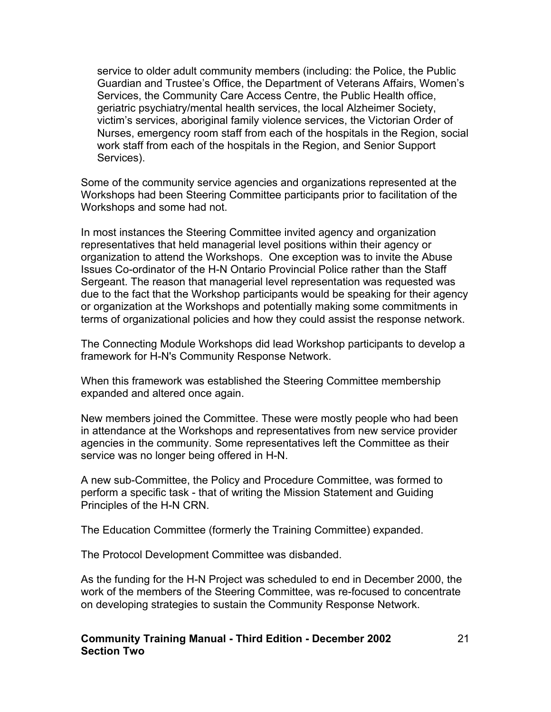service to older adult community members (including: the Police, the Public Guardian and Trustee's Office, the Department of Veterans Affairs, Women's Services, the Community Care Access Centre, the Public Health office, geriatric psychiatry/mental health services, the local Alzheimer Society, victim's services, aboriginal family violence services, the Victorian Order of Nurses, emergency room staff from each of the hospitals in the Region, social work staff from each of the hospitals in the Region, and Senior Support Services).

Some of the community service agencies and organizations represented at the Workshops had been Steering Committee participants prior to facilitation of the Workshops and some had not.

In most instances the Steering Committee invited agency and organization representatives that held managerial level positions within their agency or organization to attend the Workshops. One exception was to invite the Abuse Issues Co-ordinator of the H-N Ontario Provincial Police rather than the Staff Sergeant. The reason that managerial level representation was requested was due to the fact that the Workshop participants would be speaking for their agency or organization at the Workshops and potentially making some commitments in terms of organizational policies and how they could assist the response network.

The Connecting Module Workshops did lead Workshop participants to develop a framework for H-N's Community Response Network.

When this framework was established the Steering Committee membership expanded and altered once again.

New members joined the Committee. These were mostly people who had been in attendance at the Workshops and representatives from new service provider agencies in the community. Some representatives left the Committee as their service was no longer being offered in H-N.

A new sub-Committee, the Policy and Procedure Committee, was formed to perform a specific task - that of writing the Mission Statement and Guiding Principles of the H-N CRN.

The Education Committee (formerly the Training Committee) expanded.

The Protocol Development Committee was disbanded.

As the funding for the H-N Project was scheduled to end in December 2000, the work of the members of the Steering Committee, was re-focused to concentrate on developing strategies to sustain the Community Response Network.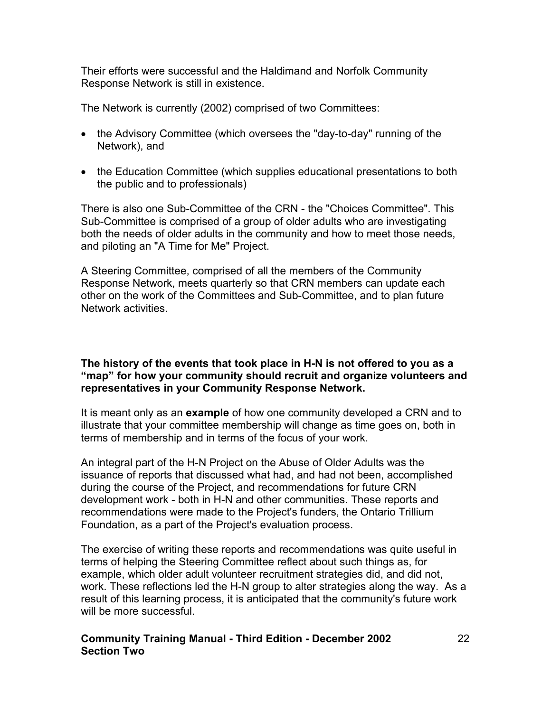Their efforts were successful and the Haldimand and Norfolk Community Response Network is still in existence.

The Network is currently (2002) comprised of two Committees:

- the Advisory Committee (which oversees the "day-to-day" running of the Network), and
- the Education Committee (which supplies educational presentations to both the public and to professionals)

There is also one Sub-Committee of the CRN - the "Choices Committee". This Sub-Committee is comprised of a group of older adults who are investigating both the needs of older adults in the community and how to meet those needs, and piloting an "A Time for Me" Project.

A Steering Committee, comprised of all the members of the Community Response Network, meets quarterly so that CRN members can update each other on the work of the Committees and Sub-Committee, and to plan future Network activities.

#### **The history of the events that took place in H-N is not offered to you as a "map" for how your community should recruit and organize volunteers and representatives in your Community Response Network.**

It is meant only as an **example** of how one community developed a CRN and to illustrate that your committee membership will change as time goes on, both in terms of membership and in terms of the focus of your work.

An integral part of the H-N Project on the Abuse of Older Adults was the issuance of reports that discussed what had, and had not been, accomplished during the course of the Project, and recommendations for future CRN development work - both in H-N and other communities. These reports and recommendations were made to the Project's funders, the Ontario Trillium Foundation, as a part of the Project's evaluation process.

The exercise of writing these reports and recommendations was quite useful in terms of helping the Steering Committee reflect about such things as, for example, which older adult volunteer recruitment strategies did, and did not, work. These reflections led the H-N group to alter strategies along the way. As a result of this learning process, it is anticipated that the community's future work will be more successful.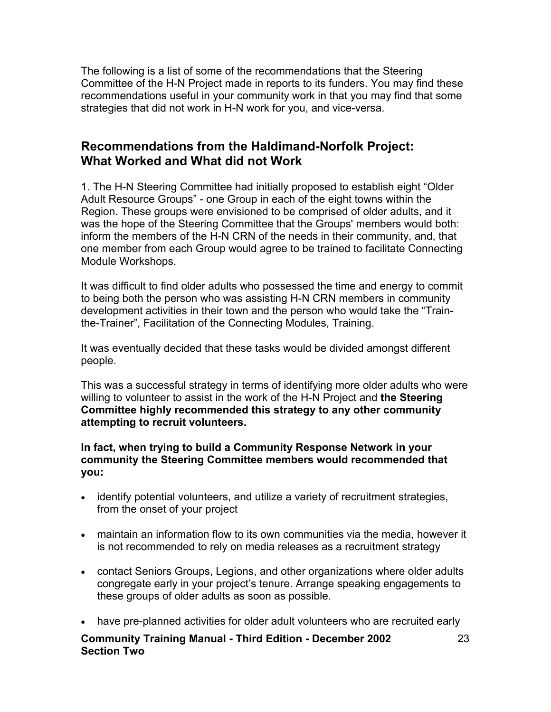The following is a list of some of the recommendations that the Steering Committee of the H-N Project made in reports to its funders. You may find these recommendations useful in your community work in that you may find that some strategies that did not work in H-N work for you, and vice-versa.

### **Recommendations from the Haldimand-Norfolk Project: What Worked and What did not Work**

1. The H-N Steering Committee had initially proposed to establish eight "Older Adult Resource Groups" - one Group in each of the eight towns within the Region. These groups were envisioned to be comprised of older adults, and it was the hope of the Steering Committee that the Groups' members would both: inform the members of the H-N CRN of the needs in their community, and, that one member from each Group would agree to be trained to facilitate Connecting Module Workshops.

It was difficult to find older adults who possessed the time and energy to commit to being both the person who was assisting H-N CRN members in community development activities in their town and the person who would take the "Trainthe-Trainer", Facilitation of the Connecting Modules, Training.

It was eventually decided that these tasks would be divided amongst different people.

This was a successful strategy in terms of identifying more older adults who were willing to volunteer to assist in the work of the H-N Project and **the Steering Committee highly recommended this strategy to any other community attempting to recruit volunteers.** 

**In fact, when trying to build a Community Response Network in your community the Steering Committee members would recommended that you:**

- identify potential volunteers, and utilize a variety of recruitment strategies, from the onset of your project
- maintain an information flow to its own communities via the media, however it is not recommended to rely on media releases as a recruitment strategy
- contact Seniors Groups, Legions, and other organizations where older adults congregate early in your project's tenure. Arrange speaking engagements to these groups of older adults as soon as possible.
- have pre-planned activities for older adult volunteers who are recruited early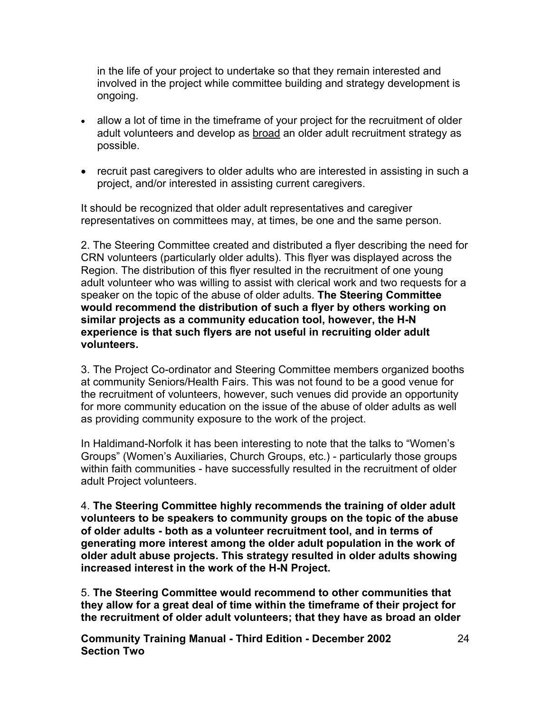in the life of your project to undertake so that they remain interested and involved in the project while committee building and strategy development is ongoing.

- allow a lot of time in the timeframe of your project for the recruitment of older adult volunteers and develop as broad an older adult recruitment strategy as possible.
- recruit past caregivers to older adults who are interested in assisting in such a project, and/or interested in assisting current caregivers.

It should be recognized that older adult representatives and caregiver representatives on committees may, at times, be one and the same person.

2. The Steering Committee created and distributed a flyer describing the need for CRN volunteers (particularly older adults). This flyer was displayed across the Region. The distribution of this flyer resulted in the recruitment of one young adult volunteer who was willing to assist with clerical work and two requests for a speaker on the topic of the abuse of older adults. **The Steering Committee would recommend the distribution of such a flyer by others working on similar projects as a community education tool, however, the H-N experience is that such flyers are not useful in recruiting older adult volunteers.** 

3. The Project Co-ordinator and Steering Committee members organized booths at community Seniors/Health Fairs. This was not found to be a good venue for the recruitment of volunteers, however, such venues did provide an opportunity for more community education on the issue of the abuse of older adults as well as providing community exposure to the work of the project.

In Haldimand-Norfolk it has been interesting to note that the talks to "Women's Groups" (Women's Auxiliaries, Church Groups, etc.) - particularly those groups within faith communities - have successfully resulted in the recruitment of older adult Project volunteers.

4. **The Steering Committee highly recommends the training of older adult volunteers to be speakers to community groups on the topic of the abuse of older adults - both as a volunteer recruitment tool, and in terms of generating more interest among the older adult population in the work of older adult abuse projects. This strategy resulted in older adults showing increased interest in the work of the H-N Project.** 

5. **The Steering Committee would recommend to other communities that they allow for a great deal of time within the timeframe of their project for the recruitment of older adult volunteers; that they have as broad an older**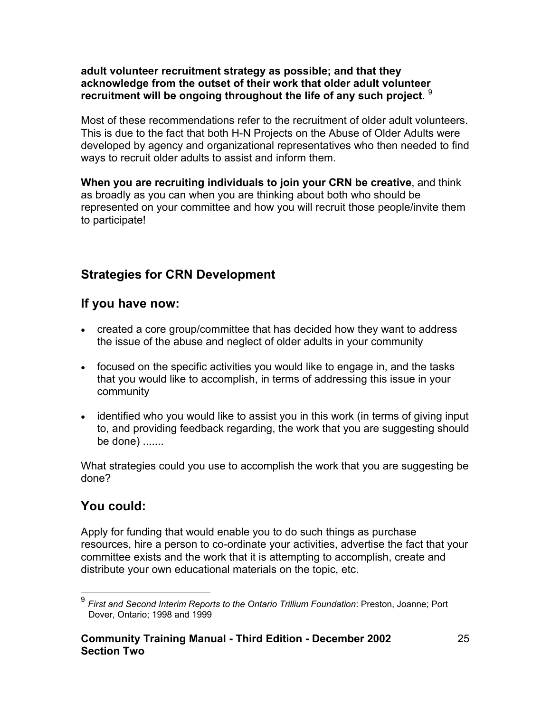#### **adult volunteer recruitment strategy as possible; and that they acknowledge from the outset of their work that older adult volunteer recruitment will be ongoing throughout the life of any such project**. [9](#page-24-0)

Most of these recommendations refer to the recruitment of older adult volunteers. This is due to the fact that both H-N Projects on the Abuse of Older Adults were developed by agency and organizational representatives who then needed to find ways to recruit older adults to assist and inform them.

**When you are recruiting individuals to join your CRN be creative**, and think as broadly as you can when you are thinking about both who should be represented on your committee and how you will recruit those people/invite them to participate!

## **Strategies for CRN Development**

### **If you have now:**

- created a core group/committee that has decided how they want to address the issue of the abuse and neglect of older adults in your community
- focused on the specific activities you would like to engage in, and the tasks that you would like to accomplish, in terms of addressing this issue in your community
- identified who you would like to assist you in this work (in terms of giving input to, and providing feedback regarding, the work that you are suggesting should be done) .......

What strategies could you use to accomplish the work that you are suggesting be done?

### **You could:**

 $\overline{a}$ 

Apply for funding that would enable you to do such things as purchase resources, hire a person to co-ordinate your activities, advertise the fact that your committee exists and the work that it is attempting to accomplish, create and distribute your own educational materials on the topic, etc.

<span id="page-24-0"></span><sup>9</sup> *First and Second Interim Reports to the Ontario Trillium Foundation*: Preston, Joanne; Port Dover, Ontario; 1998 and 1999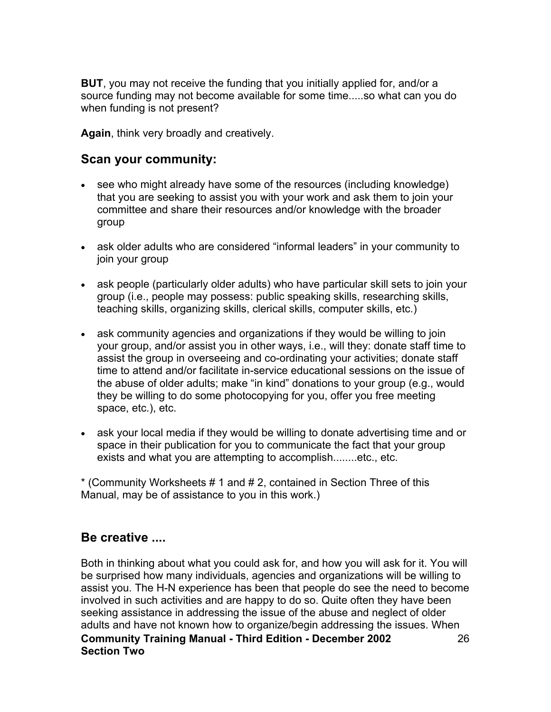**BUT**, you may not receive the funding that you initially applied for, and/or a source funding may not become available for some time.....so what can you do when funding is not present?

**Again**, think very broadly and creatively.

### **Scan your community:**

- see who might already have some of the resources (including knowledge) that you are seeking to assist you with your work and ask them to join your committee and share their resources and/or knowledge with the broader group
- ask older adults who are considered "informal leaders" in your community to join your group
- ask people (particularly older adults) who have particular skill sets to join your group (i.e., people may possess: public speaking skills, researching skills, teaching skills, organizing skills, clerical skills, computer skills, etc.)
- ask community agencies and organizations if they would be willing to join your group, and/or assist you in other ways, i.e., will they: donate staff time to assist the group in overseeing and co-ordinating your activities; donate staff time to attend and/or facilitate in-service educational sessions on the issue of the abuse of older adults; make "in kind" donations to your group (e.g., would they be willing to do some photocopying for you, offer you free meeting space, etc.), etc.
- ask your local media if they would be willing to donate advertising time and or space in their publication for you to communicate the fact that your group exists and what you are attempting to accomplish........etc., etc.

\* (Community Worksheets # 1 and # 2, contained in Section Three of this Manual, may be of assistance to you in this work.)

### **Be creative ....**

**Community Training Manual - Third Edition - December 2002 Section Two**  26 Both in thinking about what you could ask for, and how you will ask for it. You will be surprised how many individuals, agencies and organizations will be willing to assist you. The H-N experience has been that people do see the need to become involved in such activities and are happy to do so. Quite often they have been seeking assistance in addressing the issue of the abuse and neglect of older adults and have not known how to organize/begin addressing the issues. When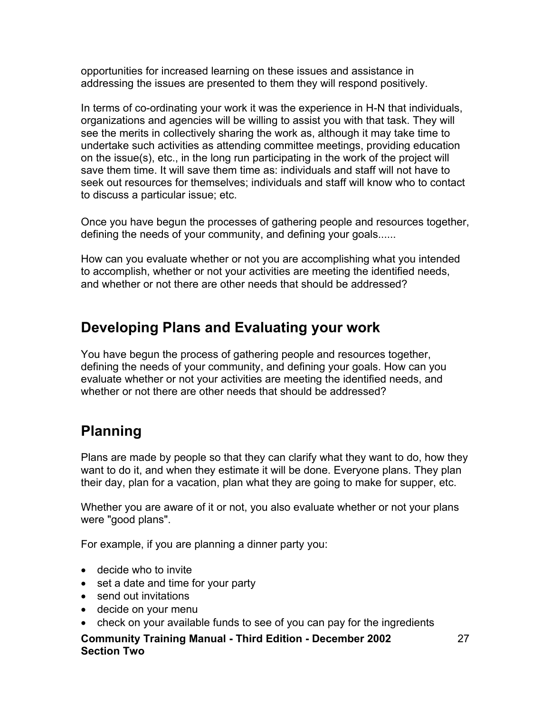opportunities for increased learning on these issues and assistance in addressing the issues are presented to them they will respond positively.

In terms of co-ordinating your work it was the experience in H-N that individuals, organizations and agencies will be willing to assist you with that task. They will see the merits in collectively sharing the work as, although it may take time to undertake such activities as attending committee meetings, providing education on the issue(s), etc., in the long run participating in the work of the project will save them time. It will save them time as: individuals and staff will not have to seek out resources for themselves; individuals and staff will know who to contact to discuss a particular issue; etc.

Once you have begun the processes of gathering people and resources together, defining the needs of your community, and defining your goals......

How can you evaluate whether or not you are accomplishing what you intended to accomplish, whether or not your activities are meeting the identified needs, and whether or not there are other needs that should be addressed?

## **Developing Plans and Evaluating your work**

You have begun the process of gathering people and resources together, defining the needs of your community, and defining your goals. How can you evaluate whether or not your activities are meeting the identified needs, and whether or not there are other needs that should be addressed?

# **Planning**

Plans are made by people so that they can clarify what they want to do, how they want to do it, and when they estimate it will be done. Everyone plans. They plan their day, plan for a vacation, plan what they are going to make for supper, etc.

Whether you are aware of it or not, you also evaluate whether or not your plans were "good plans".

For example, if you are planning a dinner party you:

- decide who to invite
- set a date and time for your party
- send out invitations
- decide on your menu
- check on your available funds to see of you can pay for the ingredients
- **Community Training Manual Third Edition December 2002 Section Two**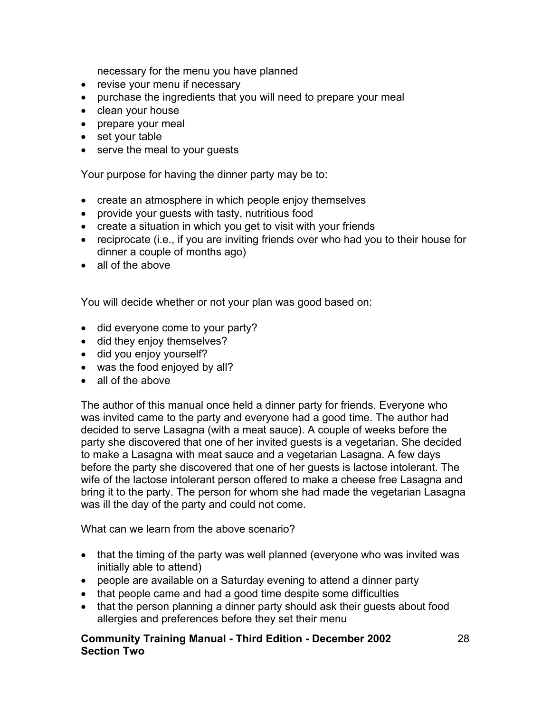necessary for the menu you have planned

- revise your menu if necessary
- purchase the ingredients that you will need to prepare your meal
- clean your house
- prepare your meal
- set your table
- serve the meal to your guests

Your purpose for having the dinner party may be to:

- create an atmosphere in which people enjoy themselves
- provide your guests with tasty, nutritious food
- create a situation in which you get to visit with your friends
- reciprocate (i.e., if you are inviting friends over who had you to their house for dinner a couple of months ago)
- all of the above

You will decide whether or not your plan was good based on:

- did everyone come to your party?
- did they enjoy themselves?
- did you enjoy yourself?
- was the food enjoyed by all?
- all of the above

The author of this manual once held a dinner party for friends. Everyone who was invited came to the party and everyone had a good time. The author had decided to serve Lasagna (with a meat sauce). A couple of weeks before the party she discovered that one of her invited guests is a vegetarian. She decided to make a Lasagna with meat sauce and a vegetarian Lasagna. A few days before the party she discovered that one of her guests is lactose intolerant. The wife of the lactose intolerant person offered to make a cheese free Lasagna and bring it to the party. The person for whom she had made the vegetarian Lasagna was ill the day of the party and could not come.

What can we learn from the above scenario?

- that the timing of the party was well planned (everyone who was invited was initially able to attend)
- people are available on a Saturday evening to attend a dinner party
- that people came and had a good time despite some difficulties
- that the person planning a dinner party should ask their quests about food allergies and preferences before they set their menu
- **Community Training Manual Third Edition December 2002 Section Two**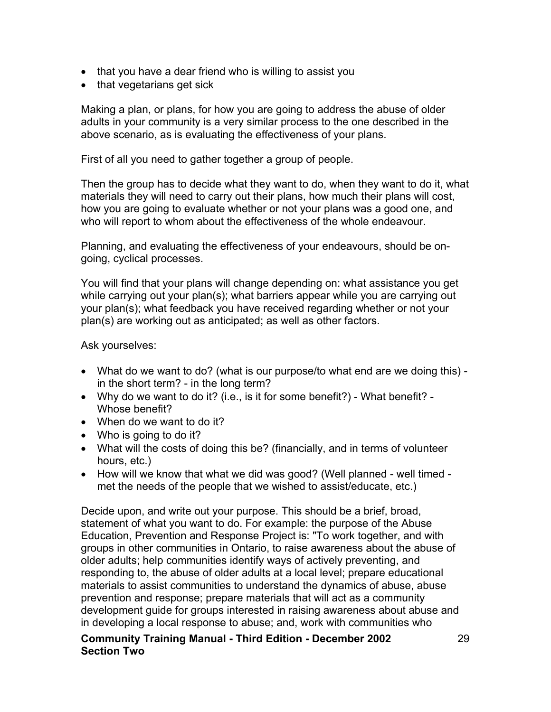- that you have a dear friend who is willing to assist you
- that vegetarians get sick

Making a plan, or plans, for how you are going to address the abuse of older adults in your community is a very similar process to the one described in the above scenario, as is evaluating the effectiveness of your plans.

First of all you need to gather together a group of people.

Then the group has to decide what they want to do, when they want to do it, what materials they will need to carry out their plans, how much their plans will cost, how you are going to evaluate whether or not your plans was a good one, and who will report to whom about the effectiveness of the whole endeavour.

Planning, and evaluating the effectiveness of your endeavours, should be ongoing, cyclical processes.

You will find that your plans will change depending on: what assistance you get while carrying out your plan(s); what barriers appear while you are carrying out your plan(s); what feedback you have received regarding whether or not your plan(s) are working out as anticipated; as well as other factors.

Ask yourselves:

- What do we want to do? (what is our purpose/to what end are we doing this) in the short term? - in the long term?
- Why do we want to do it? (i.e., is it for some benefit?) What benefit? Whose benefit?
- When do we want to do it?
- Who is going to do it?
- What will the costs of doing this be? (financially, and in terms of volunteer hours, etc.)
- How will we know that what we did was good? (Well planned well timed met the needs of the people that we wished to assist/educate, etc.)

Decide upon, and write out your purpose. This should be a brief, broad, statement of what you want to do. For example: the purpose of the Abuse Education, Prevention and Response Project is: "To work together, and with groups in other communities in Ontario, to raise awareness about the abuse of older adults; help communities identify ways of actively preventing, and responding to, the abuse of older adults at a local level; prepare educational materials to assist communities to understand the dynamics of abuse, abuse prevention and response; prepare materials that will act as a community development guide for groups interested in raising awareness about abuse and in developing a local response to abuse; and, work with communities who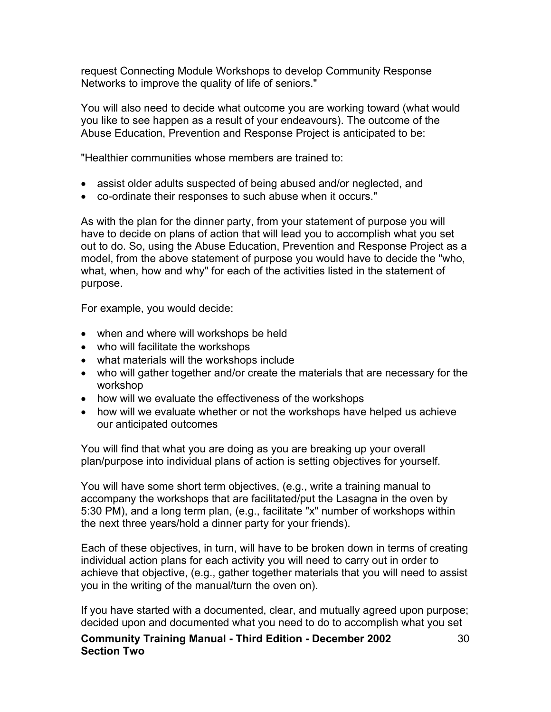request Connecting Module Workshops to develop Community Response Networks to improve the quality of life of seniors."

You will also need to decide what outcome you are working toward (what would you like to see happen as a result of your endeavours). The outcome of the Abuse Education, Prevention and Response Project is anticipated to be:

"Healthier communities whose members are trained to:

- assist older adults suspected of being abused and/or neglected, and
- co-ordinate their responses to such abuse when it occurs."

As with the plan for the dinner party, from your statement of purpose you will have to decide on plans of action that will lead you to accomplish what you set out to do. So, using the Abuse Education, Prevention and Response Project as a model, from the above statement of purpose you would have to decide the "who, what, when, how and why" for each of the activities listed in the statement of purpose.

For example, you would decide:

- when and where will workshops be held
- who will facilitate the workshops
- what materials will the workshops include
- who will gather together and/or create the materials that are necessary for the workshop
- how will we evaluate the effectiveness of the workshops
- how will we evaluate whether or not the workshops have helped us achieve our anticipated outcomes

You will find that what you are doing as you are breaking up your overall plan/purpose into individual plans of action is setting objectives for yourself.

You will have some short term objectives, (e.g., write a training manual to accompany the workshops that are facilitated/put the Lasagna in the oven by 5:30 PM), and a long term plan, (e.g., facilitate "x" number of workshops within the next three years/hold a dinner party for your friends).

Each of these objectives, in turn, will have to be broken down in terms of creating individual action plans for each activity you will need to carry out in order to achieve that objective, (e.g., gather together materials that you will need to assist you in the writing of the manual/turn the oven on).

If you have started with a documented, clear, and mutually agreed upon purpose; decided upon and documented what you need to do to accomplish what you set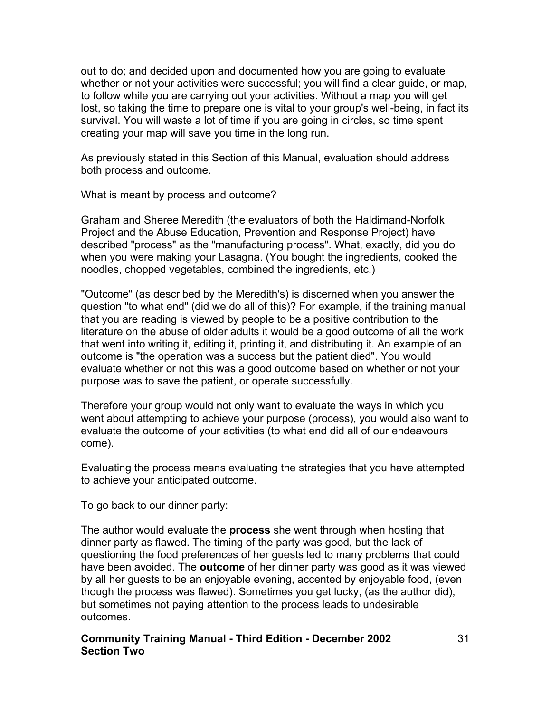out to do; and decided upon and documented how you are going to evaluate whether or not your activities were successful; you will find a clear guide, or map, to follow while you are carrying out your activities. Without a map you will get lost, so taking the time to prepare one is vital to your group's well-being, in fact its survival. You will waste a lot of time if you are going in circles, so time spent creating your map will save you time in the long run.

As previously stated in this Section of this Manual, evaluation should address both process and outcome.

What is meant by process and outcome?

Graham and Sheree Meredith (the evaluators of both the Haldimand-Norfolk Project and the Abuse Education, Prevention and Response Project) have described "process" as the "manufacturing process". What, exactly, did you do when you were making your Lasagna. (You bought the ingredients, cooked the noodles, chopped vegetables, combined the ingredients, etc.)

"Outcome" (as described by the Meredith's) is discerned when you answer the question "to what end" (did we do all of this)? For example, if the training manual that you are reading is viewed by people to be a positive contribution to the literature on the abuse of older adults it would be a good outcome of all the work that went into writing it, editing it, printing it, and distributing it. An example of an outcome is "the operation was a success but the patient died". You would evaluate whether or not this was a good outcome based on whether or not your purpose was to save the patient, or operate successfully.

Therefore your group would not only want to evaluate the ways in which you went about attempting to achieve your purpose (process), you would also want to evaluate the outcome of your activities (to what end did all of our endeavours come).

Evaluating the process means evaluating the strategies that you have attempted to achieve your anticipated outcome.

To go back to our dinner party:

The author would evaluate the **process** she went through when hosting that dinner party as flawed. The timing of the party was good, but the lack of questioning the food preferences of her guests led to many problems that could have been avoided. The **outcome** of her dinner party was good as it was viewed by all her guests to be an enjoyable evening, accented by enjoyable food, (even though the process was flawed). Sometimes you get lucky, (as the author did), but sometimes not paying attention to the process leads to undesirable outcomes.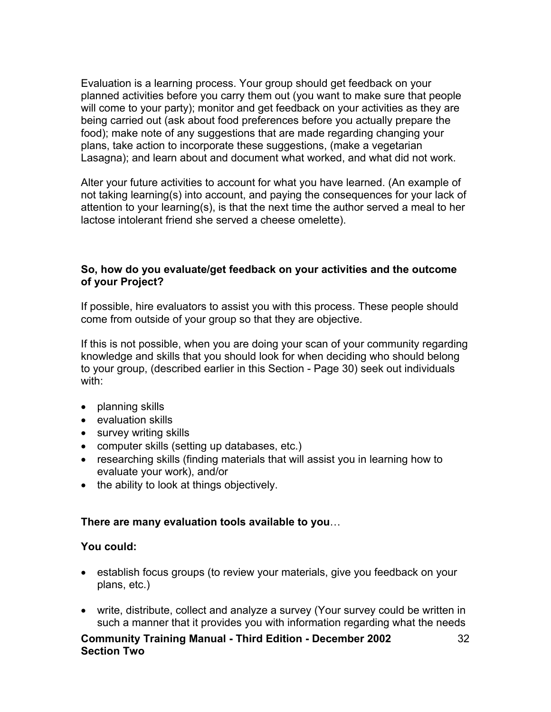Evaluation is a learning process. Your group should get feedback on your planned activities before you carry them out (you want to make sure that people will come to your party); monitor and get feedback on your activities as they are being carried out (ask about food preferences before you actually prepare the food); make note of any suggestions that are made regarding changing your plans, take action to incorporate these suggestions, (make a vegetarian Lasagna); and learn about and document what worked, and what did not work.

Alter your future activities to account for what you have learned. (An example of not taking learning(s) into account, and paying the consequences for your lack of attention to your learning(s), is that the next time the author served a meal to her lactose intolerant friend she served a cheese omelette).

#### **So, how do you evaluate/get feedback on your activities and the outcome of your Project?**

If possible, hire evaluators to assist you with this process. These people should come from outside of your group so that they are objective.

If this is not possible, when you are doing your scan of your community regarding knowledge and skills that you should look for when deciding who should belong to your group, (described earlier in this Section - Page 30) seek out individuals with:

- planning skills
- evaluation skills
- survey writing skills
- computer skills (setting up databases, etc.)
- researching skills (finding materials that will assist you in learning how to evaluate your work), and/or
- the ability to look at things objectively.

#### **There are many evaluation tools available to you**…

#### **You could:**

- establish focus groups (to review your materials, give you feedback on your plans, etc.)
- write, distribute, collect and analyze a survey (Your survey could be written in such a manner that it provides you with information regarding what the needs

32